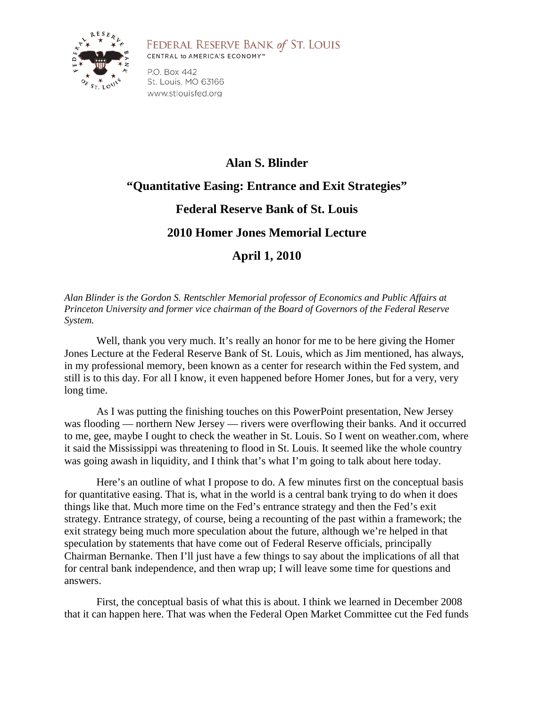

## FEDERAL RESERVE BANK of ST. LOUIS CENTRAL to AMERICA'S ECONOMY™

P.O. Box 442 St. Louis, MO 63166 www.stlouisfed.org

## **Alan S. Blinder "Quantitative Easing: Entrance and Exit Strategies" Federal Reserve Bank of St. Louis 2010 Homer Jones Memorial Lecture**

## **April 1, 2010**

*Alan Blinder is the Gordon S. Rentschler Memorial professor of Economics and Public Affairs at Princeton University and former vice chairman of the Board of Governors of the Federal Reserve System.*

Well, thank you very much. It's really an honor for me to be here giving the Homer Jones Lecture at the Federal Reserve Bank of St. Louis, which as Jim mentioned, has always, in my professional memory, been known as a center for research within the Fed system, and still is to this day. For all I know, it even happened before Homer Jones, but for a very, very long time.

As I was putting the finishing touches on this PowerPoint presentation, New Jersey was flooding — northern New Jersey — rivers were overflowing their banks. And it occurred to me, gee, maybe I ought to check the weather in St. Louis. So I went on weather.com, where it said the Mississippi was threatening to flood in St. Louis. It seemed like the whole country was going awash in liquidity, and I think that's what I'm going to talk about here today.

Here's an outline of what I propose to do. A few minutes first on the conceptual basis for quantitative easing. That is, what in the world is a central bank trying to do when it does things like that. Much more time on the Fed's entrance strategy and then the Fed's exit strategy. Entrance strategy, of course, being a recounting of the past within a framework; the exit strategy being much more speculation about the future, although we're helped in that speculation by statements that have come out of Federal Reserve officials, principally Chairman Bernanke. Then I'll just have a few things to say about the implications of all that for central bank independence, and then wrap up; I will leave some time for questions and answers.

First, the conceptual basis of what this is about. I think we learned in December 2008 that it can happen here. That was when the Federal Open Market Committee cut the Fed funds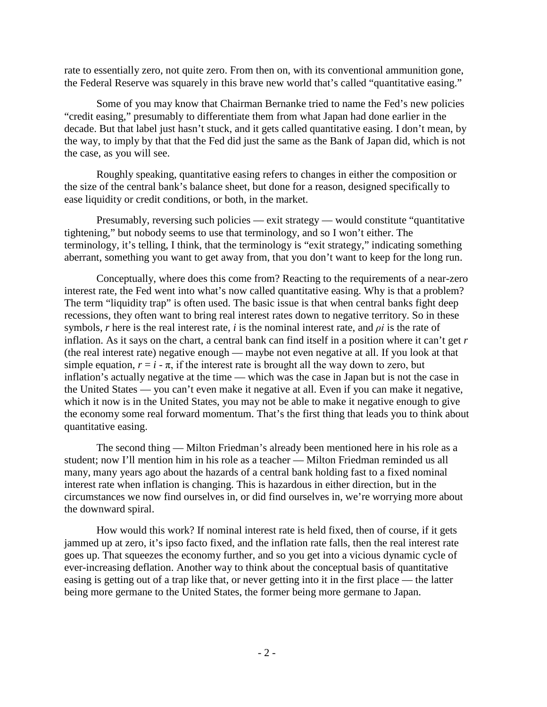rate to essentially zero, not quite zero. From then on, with its conventional ammunition gone, the Federal Reserve was squarely in this brave new world that's called "quantitative easing."

Some of you may know that Chairman Bernanke tried to name the Fed's new policies "credit easing," presumably to differentiate them from what Japan had done earlier in the decade. But that label just hasn't stuck, and it gets called quantitative easing. I don't mean, by the way, to imply by that that the Fed did just the same as the Bank of Japan did, which is not the case, as you will see.

Roughly speaking, quantitative easing refers to changes in either the composition or the size of the central bank's balance sheet, but done for a reason, designed specifically to ease liquidity or credit conditions, or both, in the market.

Presumably, reversing such policies — exit strategy — would constitute "quantitative tightening," but nobody seems to use that terminology, and so I won't either. The terminology, it's telling, I think, that the terminology is "exit strategy," indicating something aberrant, something you want to get away from, that you don't want to keep for the long run.

Conceptually, where does this come from? Reacting to the requirements of a near-zero interest rate, the Fed went into what's now called quantitative easing. Why is that a problem? The term "liquidity trap" is often used. The basic issue is that when central banks fight deep recessions, they often want to bring real interest rates down to negative territory. So in these symbols, *r* here is the real interest rate, *i* is the nominal interest rate, and *ρi* is the rate of inflation. As it says on the chart, a central bank can find itself in a position where it can't get *r* (the real interest rate) negative enough — maybe not even negative at all. If you look at that simple equation,  $r = i - \pi$ , if the interest rate is brought all the way down to zero, but inflation's actually negative at the time — which was the case in Japan but is not the case in the United States — you can't even make it negative at all. Even if you can make it negative, which it now is in the United States, you may not be able to make it negative enough to give the economy some real forward momentum. That's the first thing that leads you to think about quantitative easing.

The second thing — Milton Friedman's already been mentioned here in his role as a student; now I'll mention him in his role as a teacher — Milton Friedman reminded us all many, many years ago about the hazards of a central bank holding fast to a fixed nominal interest rate when inflation is changing. This is hazardous in either direction, but in the circumstances we now find ourselves in, or did find ourselves in, we're worrying more about the downward spiral.

How would this work? If nominal interest rate is held fixed, then of course, if it gets jammed up at zero, it's ipso facto fixed, and the inflation rate falls, then the real interest rate goes up. That squeezes the economy further, and so you get into a vicious dynamic cycle of ever-increasing deflation. Another way to think about the conceptual basis of quantitative easing is getting out of a trap like that, or never getting into it in the first place — the latter being more germane to the United States, the former being more germane to Japan.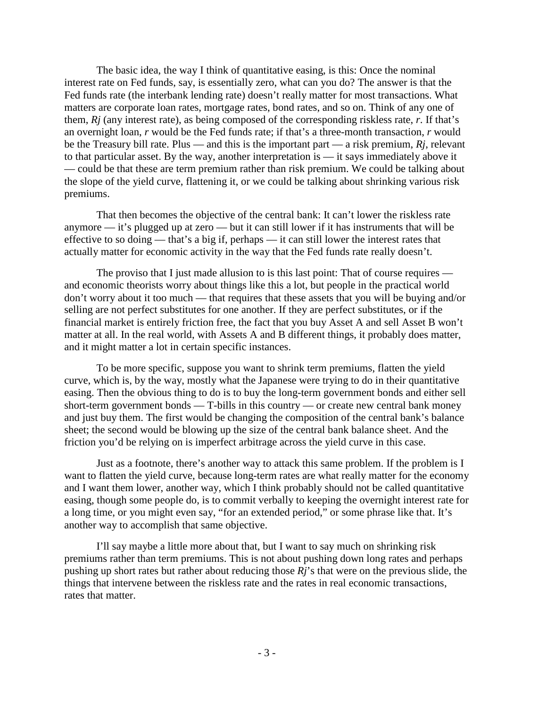The basic idea, the way I think of quantitative easing, is this: Once the nominal interest rate on Fed funds, say, is essentially zero, what can you do? The answer is that the Fed funds rate (the interbank lending rate) doesn't really matter for most transactions. What matters are corporate loan rates, mortgage rates, bond rates, and so on. Think of any one of them, *Rj* (any interest rate), as being composed of the corresponding riskless rate, *r*. If that's an overnight loan, *r* would be the Fed funds rate; if that's a three-month transaction, *r* would be the Treasury bill rate. Plus — and this is the important part — a risk premium, *Rj*, relevant to that particular asset. By the way, another interpretation is — it says immediately above it — could be that these are term premium rather than risk premium. We could be talking about the slope of the yield curve, flattening it, or we could be talking about shrinking various risk premiums.

That then becomes the objective of the central bank: It can't lower the riskless rate anymore — it's plugged up at zero — but it can still lower if it has instruments that will be effective to so doing — that's a big if, perhaps — it can still lower the interest rates that actually matter for economic activity in the way that the Fed funds rate really doesn't.

The proviso that I just made allusion to is this last point: That of course requires and economic theorists worry about things like this a lot, but people in the practical world don't worry about it too much — that requires that these assets that you will be buying and/or selling are not perfect substitutes for one another. If they are perfect substitutes, or if the financial market is entirely friction free, the fact that you buy Asset A and sell Asset B won't matter at all. In the real world, with Assets A and B different things, it probably does matter, and it might matter a lot in certain specific instances.

To be more specific, suppose you want to shrink term premiums, flatten the yield curve, which is, by the way, mostly what the Japanese were trying to do in their quantitative easing. Then the obvious thing to do is to buy the long-term government bonds and either sell short-term government bonds — T-bills in this country — or create new central bank money and just buy them. The first would be changing the composition of the central bank's balance sheet; the second would be blowing up the size of the central bank balance sheet. And the friction you'd be relying on is imperfect arbitrage across the yield curve in this case.

Just as a footnote, there's another way to attack this same problem. If the problem is I want to flatten the yield curve, because long-term rates are what really matter for the economy and I want them lower, another way, which I think probably should not be called quantitative easing, though some people do, is to commit verbally to keeping the overnight interest rate for a long time, or you might even say, "for an extended period," or some phrase like that. It's another way to accomplish that same objective.

I'll say maybe a little more about that, but I want to say much on shrinking risk premiums rather than term premiums. This is not about pushing down long rates and perhaps pushing up short rates but rather about reducing those *Rj*'s that were on the previous slide, the things that intervene between the riskless rate and the rates in real economic transactions, rates that matter.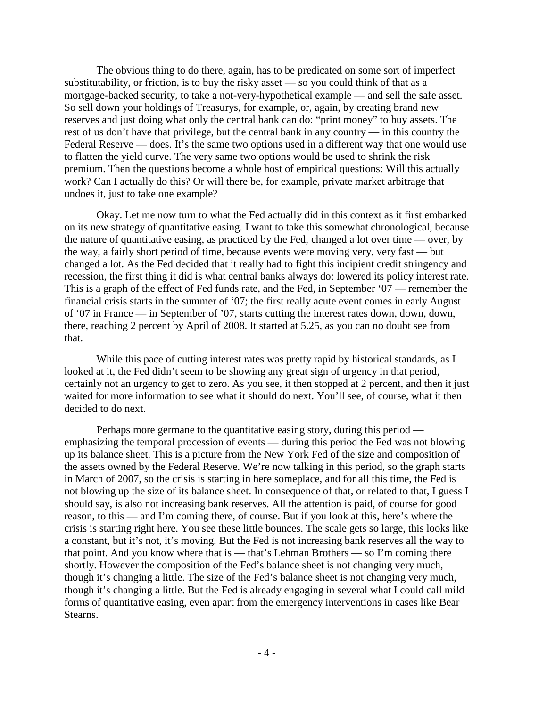The obvious thing to do there, again, has to be predicated on some sort of imperfect substitutability, or friction, is to buy the risky asset — so you could think of that as a mortgage-backed security, to take a not-very-hypothetical example — and sell the safe asset. So sell down your holdings of Treasurys, for example, or, again, by creating brand new reserves and just doing what only the central bank can do: "print money" to buy assets. The rest of us don't have that privilege, but the central bank in any country — in this country the Federal Reserve — does. It's the same two options used in a different way that one would use to flatten the yield curve. The very same two options would be used to shrink the risk premium. Then the questions become a whole host of empirical questions: Will this actually work? Can I actually do this? Or will there be, for example, private market arbitrage that undoes it, just to take one example?

Okay. Let me now turn to what the Fed actually did in this context as it first embarked on its new strategy of quantitative easing. I want to take this somewhat chronological, because the nature of quantitative easing, as practiced by the Fed, changed a lot over time — over, by the way, a fairly short period of time, because events were moving very, very fast — but changed a lot. As the Fed decided that it really had to fight this incipient credit stringency and recession, the first thing it did is what central banks always do: lowered its policy interest rate. This is a graph of the effect of Fed funds rate, and the Fed, in September '07 — remember the financial crisis starts in the summer of '07; the first really acute event comes in early August of '07 in France — in September of '07, starts cutting the interest rates down, down, down, there, reaching 2 percent by April of 2008. It started at 5.25, as you can no doubt see from that.

While this pace of cutting interest rates was pretty rapid by historical standards, as I looked at it, the Fed didn't seem to be showing any great sign of urgency in that period, certainly not an urgency to get to zero. As you see, it then stopped at 2 percent, and then it just waited for more information to see what it should do next. You'll see, of course, what it then decided to do next.

Perhaps more germane to the quantitative easing story, during this period emphasizing the temporal procession of events — during this period the Fed was not blowing up its balance sheet. This is a picture from the New York Fed of the size and composition of the assets owned by the Federal Reserve. We're now talking in this period, so the graph starts in March of 2007, so the crisis is starting in here someplace, and for all this time, the Fed is not blowing up the size of its balance sheet. In consequence of that, or related to that, I guess I should say, is also not increasing bank reserves. All the attention is paid, of course for good reason, to this — and I'm coming there, of course. But if you look at this, here's where the crisis is starting right here. You see these little bounces. The scale gets so large, this looks like a constant, but it's not, it's moving. But the Fed is not increasing bank reserves all the way to that point. And you know where that is — that's Lehman Brothers — so I'm coming there shortly. However the composition of the Fed's balance sheet is not changing very much, though it's changing a little. The size of the Fed's balance sheet is not changing very much, though it's changing a little. But the Fed is already engaging in several what I could call mild forms of quantitative easing, even apart from the emergency interventions in cases like Bear Stearns.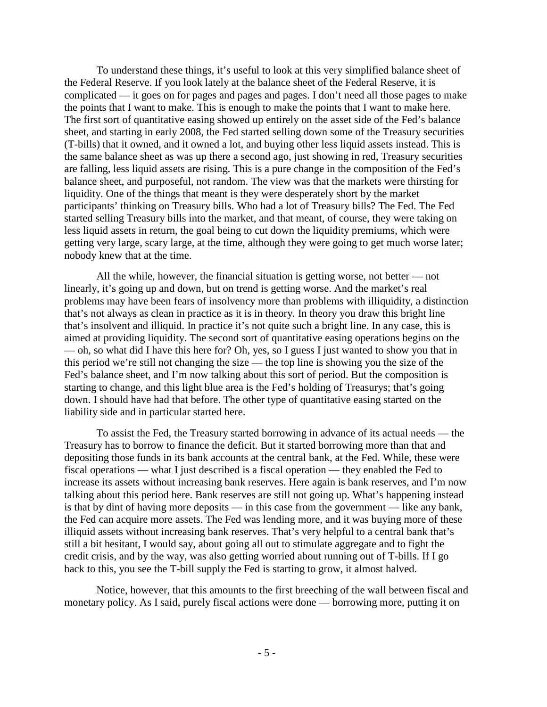To understand these things, it's useful to look at this very simplified balance sheet of the Federal Reserve. If you look lately at the balance sheet of the Federal Reserve, it is complicated — it goes on for pages and pages and pages. I don't need all those pages to make the points that I want to make. This is enough to make the points that I want to make here. The first sort of quantitative easing showed up entirely on the asset side of the Fed's balance sheet, and starting in early 2008, the Fed started selling down some of the Treasury securities (T-bills) that it owned, and it owned a lot, and buying other less liquid assets instead. This is the same balance sheet as was up there a second ago, just showing in red, Treasury securities are falling, less liquid assets are rising. This is a pure change in the composition of the Fed's balance sheet, and purposeful, not random. The view was that the markets were thirsting for liquidity. One of the things that meant is they were desperately short by the market participants' thinking on Treasury bills. Who had a lot of Treasury bills? The Fed. The Fed started selling Treasury bills into the market, and that meant, of course, they were taking on less liquid assets in return, the goal being to cut down the liquidity premiums, which were getting very large, scary large, at the time, although they were going to get much worse later; nobody knew that at the time.

All the while, however, the financial situation is getting worse, not better — not linearly, it's going up and down, but on trend is getting worse. And the market's real problems may have been fears of insolvency more than problems with illiquidity, a distinction that's not always as clean in practice as it is in theory. In theory you draw this bright line that's insolvent and illiquid. In practice it's not quite such a bright line. In any case, this is aimed at providing liquidity. The second sort of quantitative easing operations begins on the — oh, so what did I have this here for? Oh, yes, so I guess I just wanted to show you that in this period we're still not changing the size — the top line is showing you the size of the Fed's balance sheet, and I'm now talking about this sort of period. But the composition is starting to change, and this light blue area is the Fed's holding of Treasurys; that's going down. I should have had that before. The other type of quantitative easing started on the liability side and in particular started here.

To assist the Fed, the Treasury started borrowing in advance of its actual needs — the Treasury has to borrow to finance the deficit. But it started borrowing more than that and depositing those funds in its bank accounts at the central bank, at the Fed. While, these were fiscal operations — what I just described is a fiscal operation — they enabled the Fed to increase its assets without increasing bank reserves. Here again is bank reserves, and I'm now talking about this period here. Bank reserves are still not going up. What's happening instead is that by dint of having more deposits — in this case from the government — like any bank, the Fed can acquire more assets. The Fed was lending more, and it was buying more of these illiquid assets without increasing bank reserves. That's very helpful to a central bank that's still a bit hesitant, I would say, about going all out to stimulate aggregate and to fight the credit crisis, and by the way, was also getting worried about running out of T-bills. If I go back to this, you see the T-bill supply the Fed is starting to grow, it almost halved.

Notice, however, that this amounts to the first breeching of the wall between fiscal and monetary policy. As I said, purely fiscal actions were done — borrowing more, putting it on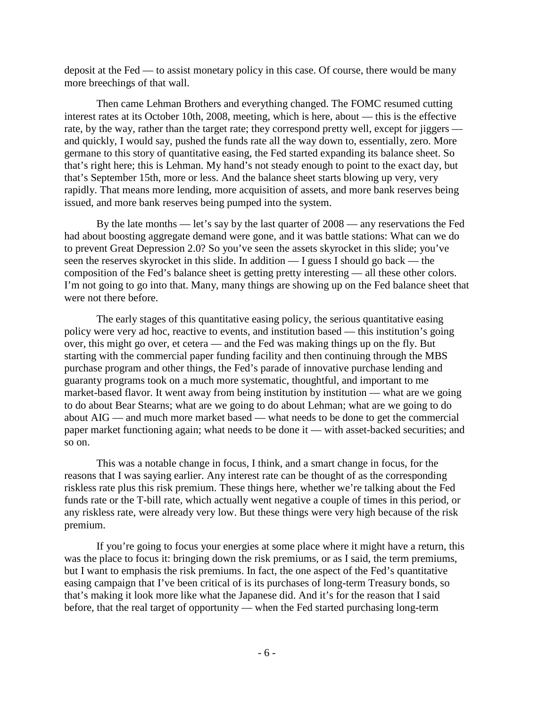deposit at the Fed — to assist monetary policy in this case. Of course, there would be many more breechings of that wall.

Then came Lehman Brothers and everything changed. The FOMC resumed cutting interest rates at its October 10th, 2008, meeting, which is here, about — this is the effective rate, by the way, rather than the target rate; they correspond pretty well, except for jiggers and quickly, I would say, pushed the funds rate all the way down to, essentially, zero. More germane to this story of quantitative easing, the Fed started expanding its balance sheet. So that's right here; this is Lehman. My hand's not steady enough to point to the exact day, but that's September 15th, more or less. And the balance sheet starts blowing up very, very rapidly. That means more lending, more acquisition of assets, and more bank reserves being issued, and more bank reserves being pumped into the system.

By the late months — let's say by the last quarter of 2008 — any reservations the Fed had about boosting aggregate demand were gone, and it was battle stations: What can we do to prevent Great Depression 2.0? So you've seen the assets skyrocket in this slide; you've seen the reserves skyrocket in this slide. In addition — I guess I should go back — the composition of the Fed's balance sheet is getting pretty interesting — all these other colors. I'm not going to go into that. Many, many things are showing up on the Fed balance sheet that were not there before.

The early stages of this quantitative easing policy, the serious quantitative easing policy were very ad hoc, reactive to events, and institution based — this institution's going over, this might go over, et cetera — and the Fed was making things up on the fly. But starting with the commercial paper funding facility and then continuing through the MBS purchase program and other things, the Fed's parade of innovative purchase lending and guaranty programs took on a much more systematic, thoughtful, and important to me market-based flavor. It went away from being institution by institution — what are we going to do about Bear Stearns; what are we going to do about Lehman; what are we going to do about AIG — and much more market based — what needs to be done to get the commercial paper market functioning again; what needs to be done it — with asset-backed securities; and so on.

This was a notable change in focus, I think, and a smart change in focus, for the reasons that I was saying earlier. Any interest rate can be thought of as the corresponding riskless rate plus this risk premium. These things here, whether we're talking about the Fed funds rate or the T-bill rate, which actually went negative a couple of times in this period, or any riskless rate, were already very low. But these things were very high because of the risk premium.

If you're going to focus your energies at some place where it might have a return, this was the place to focus it: bringing down the risk premiums, or as I said, the term premiums, but I want to emphasis the risk premiums. In fact, the one aspect of the Fed's quantitative easing campaign that I've been critical of is its purchases of long-term Treasury bonds, so that's making it look more like what the Japanese did. And it's for the reason that I said before, that the real target of opportunity — when the Fed started purchasing long-term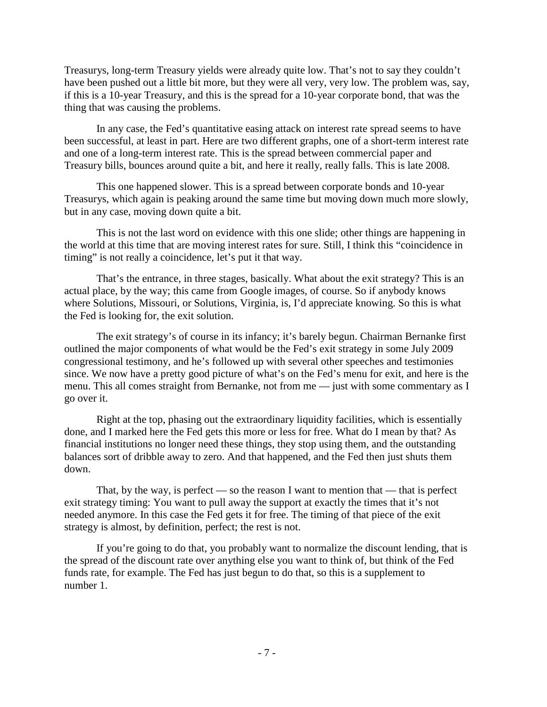Treasurys, long-term Treasury yields were already quite low. That's not to say they couldn't have been pushed out a little bit more, but they were all very, very low. The problem was, say, if this is a 10-year Treasury, and this is the spread for a 10-year corporate bond, that was the thing that was causing the problems.

In any case, the Fed's quantitative easing attack on interest rate spread seems to have been successful, at least in part. Here are two different graphs, one of a short-term interest rate and one of a long-term interest rate. This is the spread between commercial paper and Treasury bills, bounces around quite a bit, and here it really, really falls. This is late 2008.

This one happened slower. This is a spread between corporate bonds and 10-year Treasurys, which again is peaking around the same time but moving down much more slowly, but in any case, moving down quite a bit.

This is not the last word on evidence with this one slide; other things are happening in the world at this time that are moving interest rates for sure. Still, I think this "coincidence in timing" is not really a coincidence, let's put it that way.

That's the entrance, in three stages, basically. What about the exit strategy? This is an actual place, by the way; this came from Google images, of course. So if anybody knows where Solutions, Missouri, or Solutions, Virginia, is, I'd appreciate knowing. So this is what the Fed is looking for, the exit solution.

The exit strategy's of course in its infancy; it's barely begun. Chairman Bernanke first outlined the major components of what would be the Fed's exit strategy in some July 2009 congressional testimony, and he's followed up with several other speeches and testimonies since. We now have a pretty good picture of what's on the Fed's menu for exit, and here is the menu. This all comes straight from Bernanke, not from me — just with some commentary as I go over it.

Right at the top, phasing out the extraordinary liquidity facilities, which is essentially done, and I marked here the Fed gets this more or less for free. What do I mean by that? As financial institutions no longer need these things, they stop using them, and the outstanding balances sort of dribble away to zero. And that happened, and the Fed then just shuts them down.

That, by the way, is perfect — so the reason I want to mention that — that is perfect exit strategy timing: You want to pull away the support at exactly the times that it's not needed anymore. In this case the Fed gets it for free. The timing of that piece of the exit strategy is almost, by definition, perfect; the rest is not.

If you're going to do that, you probably want to normalize the discount lending, that is the spread of the discount rate over anything else you want to think of, but think of the Fed funds rate, for example. The Fed has just begun to do that, so this is a supplement to number 1.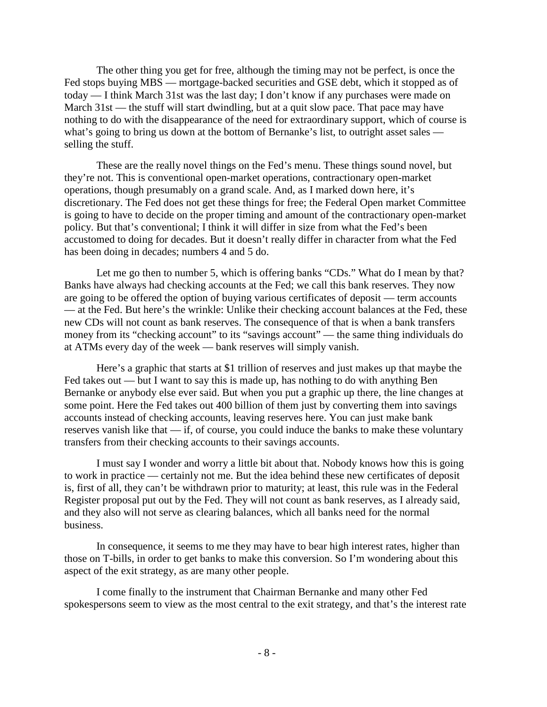The other thing you get for free, although the timing may not be perfect, is once the Fed stops buying MBS — mortgage-backed securities and GSE debt, which it stopped as of today — I think March 31st was the last day; I don't know if any purchases were made on March 31st — the stuff will start dwindling, but at a quit slow pace. That pace may have nothing to do with the disappearance of the need for extraordinary support, which of course is what's going to bring us down at the bottom of Bernanke's list, to outright asset sales selling the stuff.

These are the really novel things on the Fed's menu. These things sound novel, but they're not. This is conventional open-market operations, contractionary open-market operations, though presumably on a grand scale. And, as I marked down here, it's discretionary. The Fed does not get these things for free; the Federal Open market Committee is going to have to decide on the proper timing and amount of the contractionary open-market policy. But that's conventional; I think it will differ in size from what the Fed's been accustomed to doing for decades. But it doesn't really differ in character from what the Fed has been doing in decades; numbers 4 and 5 do.

Let me go then to number 5, which is offering banks "CDs." What do I mean by that? Banks have always had checking accounts at the Fed; we call this bank reserves. They now are going to be offered the option of buying various certificates of deposit — term accounts — at the Fed. But here's the wrinkle: Unlike their checking account balances at the Fed, these new CDs will not count as bank reserves. The consequence of that is when a bank transfers money from its "checking account" to its "savings account" — the same thing individuals do at ATMs every day of the week — bank reserves will simply vanish.

Here's a graphic that starts at \$1 trillion of reserves and just makes up that maybe the Fed takes out — but I want to say this is made up, has nothing to do with anything Ben Bernanke or anybody else ever said. But when you put a graphic up there, the line changes at some point. Here the Fed takes out 400 billion of them just by converting them into savings accounts instead of checking accounts, leaving reserves here. You can just make bank reserves vanish like that — if, of course, you could induce the banks to make these voluntary transfers from their checking accounts to their savings accounts.

I must say I wonder and worry a little bit about that. Nobody knows how this is going to work in practice — certainly not me. But the idea behind these new certificates of deposit is, first of all, they can't be withdrawn prior to maturity; at least, this rule was in the Federal Register proposal put out by the Fed. They will not count as bank reserves, as I already said, and they also will not serve as clearing balances, which all banks need for the normal business.

In consequence, it seems to me they may have to bear high interest rates, higher than those on T-bills, in order to get banks to make this conversion. So I'm wondering about this aspect of the exit strategy, as are many other people.

I come finally to the instrument that Chairman Bernanke and many other Fed spokespersons seem to view as the most central to the exit strategy, and that's the interest rate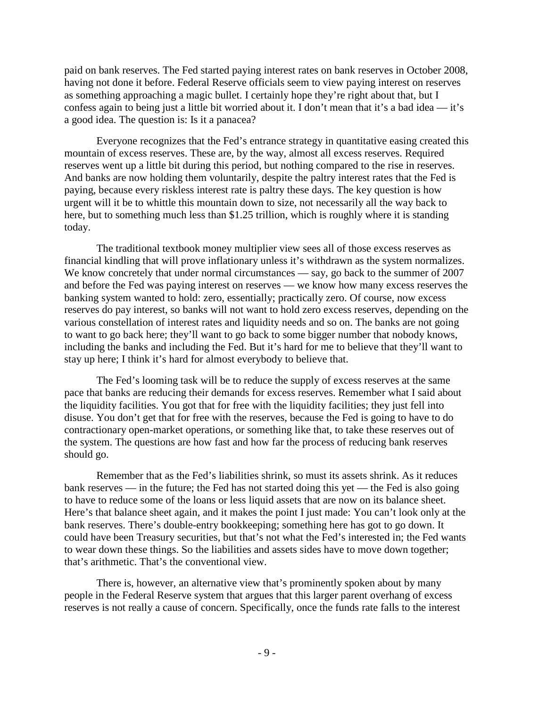paid on bank reserves. The Fed started paying interest rates on bank reserves in October 2008, having not done it before. Federal Reserve officials seem to view paying interest on reserves as something approaching a magic bullet. I certainly hope they're right about that, but I confess again to being just a little bit worried about it. I don't mean that it's a bad idea — it's a good idea. The question is: Is it a panacea?

Everyone recognizes that the Fed's entrance strategy in quantitative easing created this mountain of excess reserves. These are, by the way, almost all excess reserves. Required reserves went up a little bit during this period, but nothing compared to the rise in reserves. And banks are now holding them voluntarily, despite the paltry interest rates that the Fed is paying, because every riskless interest rate is paltry these days. The key question is how urgent will it be to whittle this mountain down to size, not necessarily all the way back to here, but to something much less than \$1.25 trillion, which is roughly where it is standing today.

The traditional textbook money multiplier view sees all of those excess reserves as financial kindling that will prove inflationary unless it's withdrawn as the system normalizes. We know concretely that under normal circumstances — say, go back to the summer of 2007 and before the Fed was paying interest on reserves — we know how many excess reserves the banking system wanted to hold: zero, essentially; practically zero. Of course, now excess reserves do pay interest, so banks will not want to hold zero excess reserves, depending on the various constellation of interest rates and liquidity needs and so on. The banks are not going to want to go back here; they'll want to go back to some bigger number that nobody knows, including the banks and including the Fed. But it's hard for me to believe that they'll want to stay up here; I think it's hard for almost everybody to believe that.

The Fed's looming task will be to reduce the supply of excess reserves at the same pace that banks are reducing their demands for excess reserves. Remember what I said about the liquidity facilities. You got that for free with the liquidity facilities; they just fell into disuse. You don't get that for free with the reserves, because the Fed is going to have to do contractionary open-market operations, or something like that, to take these reserves out of the system. The questions are how fast and how far the process of reducing bank reserves should go.

Remember that as the Fed's liabilities shrink, so must its assets shrink. As it reduces bank reserves — in the future; the Fed has not started doing this yet — the Fed is also going to have to reduce some of the loans or less liquid assets that are now on its balance sheet. Here's that balance sheet again, and it makes the point I just made: You can't look only at the bank reserves. There's double-entry bookkeeping; something here has got to go down. It could have been Treasury securities, but that's not what the Fed's interested in; the Fed wants to wear down these things. So the liabilities and assets sides have to move down together; that's arithmetic. That's the conventional view.

There is, however, an alternative view that's prominently spoken about by many people in the Federal Reserve system that argues that this larger parent overhang of excess reserves is not really a cause of concern. Specifically, once the funds rate falls to the interest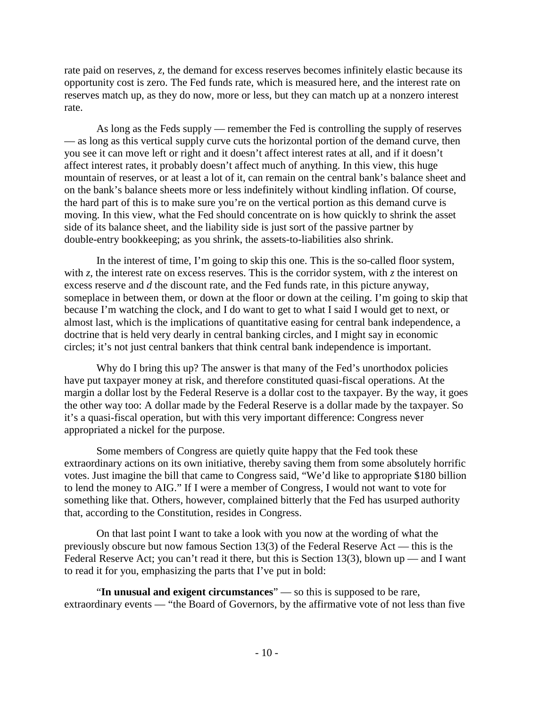rate paid on reserves, *z*, the demand for excess reserves becomes infinitely elastic because its opportunity cost is zero. The Fed funds rate, which is measured here, and the interest rate on reserves match up, as they do now, more or less, but they can match up at a nonzero interest rate.

As long as the Feds supply — remember the Fed is controlling the supply of reserves — as long as this vertical supply curve cuts the horizontal portion of the demand curve, then you see it can move left or right and it doesn't affect interest rates at all, and if it doesn't affect interest rates, it probably doesn't affect much of anything. In this view, this huge mountain of reserves, or at least a lot of it, can remain on the central bank's balance sheet and on the bank's balance sheets more or less indefinitely without kindling inflation. Of course, the hard part of this is to make sure you're on the vertical portion as this demand curve is moving. In this view, what the Fed should concentrate on is how quickly to shrink the asset side of its balance sheet, and the liability side is just sort of the passive partner by double-entry bookkeeping; as you shrink, the assets-to-liabilities also shrink.

In the interest of time, I'm going to skip this one. This is the so-called floor system, with *z*, the interest rate on excess reserves. This is the corridor system, with *z* the interest on excess reserve and *d* the discount rate, and the Fed funds rate, in this picture anyway, someplace in between them, or down at the floor or down at the ceiling. I'm going to skip that because I'm watching the clock, and I do want to get to what I said I would get to next, or almost last, which is the implications of quantitative easing for central bank independence, a doctrine that is held very dearly in central banking circles, and I might say in economic circles; it's not just central bankers that think central bank independence is important.

Why do I bring this up? The answer is that many of the Fed's unorthodox policies have put taxpayer money at risk, and therefore constituted quasi-fiscal operations. At the margin a dollar lost by the Federal Reserve is a dollar cost to the taxpayer. By the way, it goes the other way too: A dollar made by the Federal Reserve is a dollar made by the taxpayer. So it's a quasi-fiscal operation, but with this very important difference: Congress never appropriated a nickel for the purpose.

Some members of Congress are quietly quite happy that the Fed took these extraordinary actions on its own initiative, thereby saving them from some absolutely horrific votes. Just imagine the bill that came to Congress said, "We'd like to appropriate \$180 billion to lend the money to AIG." If I were a member of Congress, I would not want to vote for something like that. Others, however, complained bitterly that the Fed has usurped authority that, according to the Constitution, resides in Congress.

On that last point I want to take a look with you now at the wording of what the previously obscure but now famous Section 13(3) of the Federal Reserve Act — this is the Federal Reserve Act; you can't read it there, but this is Section 13(3), blown up — and I want to read it for you, emphasizing the parts that I've put in bold:

"**In unusual and exigent circumstances**" — so this is supposed to be rare, extraordinary events — "the Board of Governors, by the affirmative vote of not less than five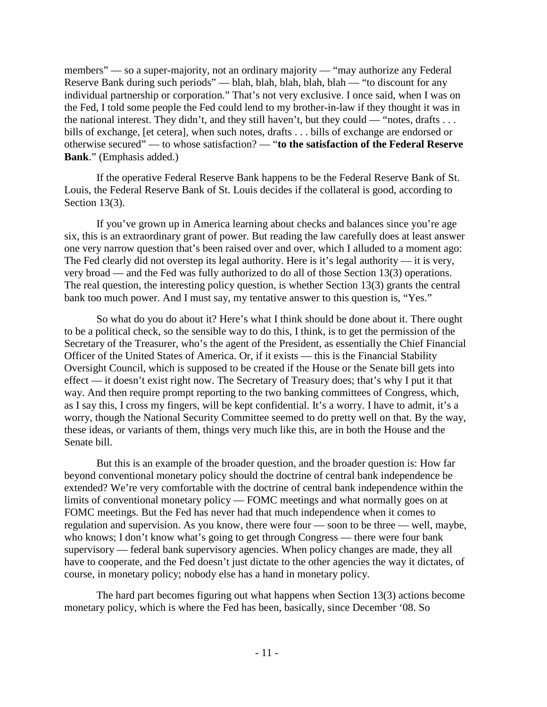members" — so a super-majority, not an ordinary majority — "may authorize any Federal" Reserve Bank during such periods" — blah, blah, blah, blah, blah — "to discount for any individual partnership or corporation." That's not very exclusive. I once said, when I was on the Fed, I told some people the Fed could lend to my brother-in-law if they thought it was in the national interest. They didn't, and they still haven't, but they could — "notes, drafts  $\dots$ bills of exchange, [et cetera], when such notes, drafts . . . bills of exchange are endorsed or otherwise secured" — to whose satisfaction? — "**to the satisfaction of the Federal Reserve Bank**." (Emphasis added.)

If the operative Federal Reserve Bank happens to be the Federal Reserve Bank of St. Louis, the Federal Reserve Bank of St. Louis decides if the collateral is good, according to Section 13(3).

If you've grown up in America learning about checks and balances since you're age six, this is an extraordinary grant of power. But reading the law carefully does at least answer one very narrow question that's been raised over and over, which I alluded to a moment ago: The Fed clearly did not overstep its legal authority. Here is it's legal authority — it is very, very broad — and the Fed was fully authorized to do all of those Section 13(3) operations. The real question, the interesting policy question, is whether Section 13(3) grants the central bank too much power. And I must say, my tentative answer to this question is, "Yes."

So what do you do about it? Here's what I think should be done about it. There ought to be a political check, so the sensible way to do this, I think, is to get the permission of the Secretary of the Treasurer, who's the agent of the President, as essentially the Chief Financial Officer of the United States of America. Or, if it exists — this is the Financial Stability Oversight Council, which is supposed to be created if the House or the Senate bill gets into effect — it doesn't exist right now. The Secretary of Treasury does; that's why I put it that way. And then require prompt reporting to the two banking committees of Congress, which, as I say this, I cross my fingers, will be kept confidential. It's a worry. I have to admit, it's a worry, though the National Security Committee seemed to do pretty well on that. By the way, these ideas, or variants of them, things very much like this, are in both the House and the Senate bill.

But this is an example of the broader question, and the broader question is: How far beyond conventional monetary policy should the doctrine of central bank independence be extended? We're very comfortable with the doctrine of central bank independence within the limits of conventional monetary policy — FOMC meetings and what normally goes on at FOMC meetings. But the Fed has never had that much independence when it comes to regulation and supervision. As you know, there were four — soon to be three — well, maybe, who knows; I don't know what's going to get through Congress — there were four bank supervisory — federal bank supervisory agencies. When policy changes are made, they all have to cooperate, and the Fed doesn't just dictate to the other agencies the way it dictates, of course, in monetary policy; nobody else has a hand in monetary policy.

The hard part becomes figuring out what happens when Section 13(3) actions become monetary policy, which is where the Fed has been, basically, since December '08. So